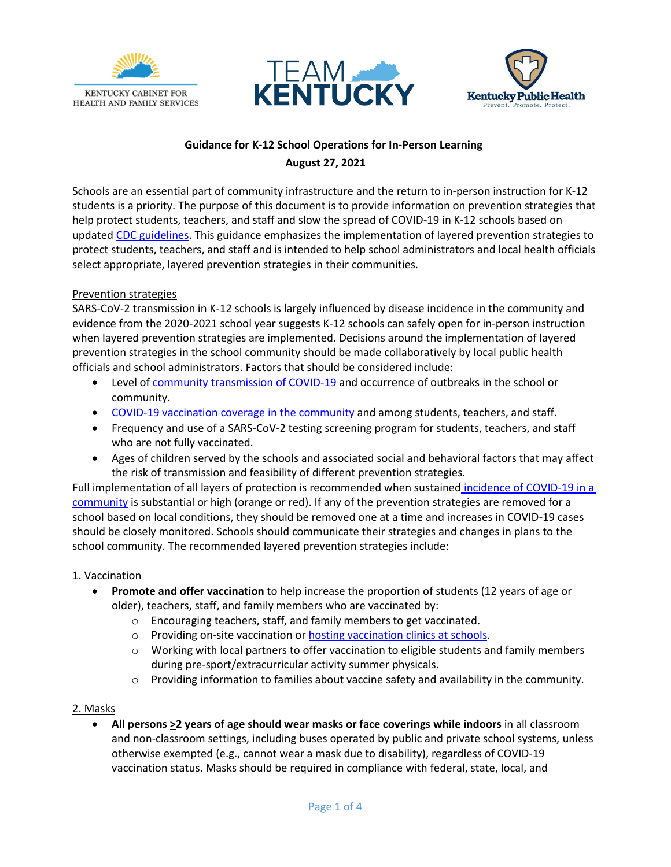





# **Guidance for K-12 School Operations for In-Person Learning August 27, 2021**

Schools are an essential part of community infrastructure and the return to in-person instruction for K-12 students is a priority. The purpose of this document is to provide information on prevention strategies that help protect students, teachers, and staff and slow the spread of COVID-19 in K-12 schools based on updated [CDC guidelines.](https://www.cdc.gov/coronavirus/2019-ncov/community/schools-childcare/k-12-guidance.html) This guidance emphasizes the implementation of layered prevention strategies to protect students, teachers, and staff and is intended to help school administrators and local health officials select appropriate, layered prevention strategies in their communities.

## Prevention strategies

SARS-CoV-2 transmission in K-12 schools is largely influenced by disease incidence in the community and evidence from the 2020-2021 school year suggests K-12 schools can safely open for in-person instruction when layered prevention strategies are implemented. Decisions around the implementation of layered prevention strategies in the school community should be made collaboratively by local public health officials and school administrators. Factors that should be considered include:

- Level of [community transmission of COVID-19](https://govstatus.egov.com/kycovid19) and occurrence of outbreaks in the school or community.
- [COVID-19 vaccination coverage in the community](https://dashboard.chfs.ky.gov/views/KYPublicFacingDashboard_16191000580170/KentuckyCOVID-19Vaccination?:iid=1&:isGuestRedirectFromVizportal=y&:embed=y) and among students, teachers, and staff.
- Frequency and use of a SARS-CoV-2 testing screening program for students, teachers, and staff who are not fully vaccinated.
- Ages of children served by the schools and associated social and behavioral factors that may affect the risk of transmission and feasibility of different prevention strategies.

Full implementation of all layers of protection is recommended when sustained [incidence of COVID-19 in a](https://govstatus.egov.com/kycovid19)  [community](https://govstatus.egov.com/kycovid19) is substantial or high (orange or red). If any of the prevention strategies are removed for a school based on local conditions, they should be removed one at a time and increases in COVID-19 cases should be closely monitored. Schools should communicate their strategies and changes in plans to the school community. The recommended layered prevention strategies include:

## 1. Vaccination

- **Promote and offer vaccination** to help increase the proportion of students (12 years of age or older), teachers, staff, and family members who are vaccinated by:
	- o Encouraging teachers, staff, and family members to get vaccinated.
	- o Providing on-site vaccination o[r hosting vaccination clinics](https://www.cdc.gov/vaccines/covid-19/planning/school-located-clinics.html) at schools.
	- $\circ$  Working with local partners to offer vaccination to eligible students and family members during pre-sport/extracurricular activity summer physicals.
	- $\circ$  Providing information to families about vaccine safety and availability in the community.

## 2. Masks

• **All persons >2 years of age should wear masks or face coverings while indoors** in all classroom and non-classroom settings, including buses operated by public and private school systems, unless otherwise exempted (e.g., cannot wear a mask due to disability), regardless of COVID-19 vaccination status. Masks should be required in compliance with federal, state, local, and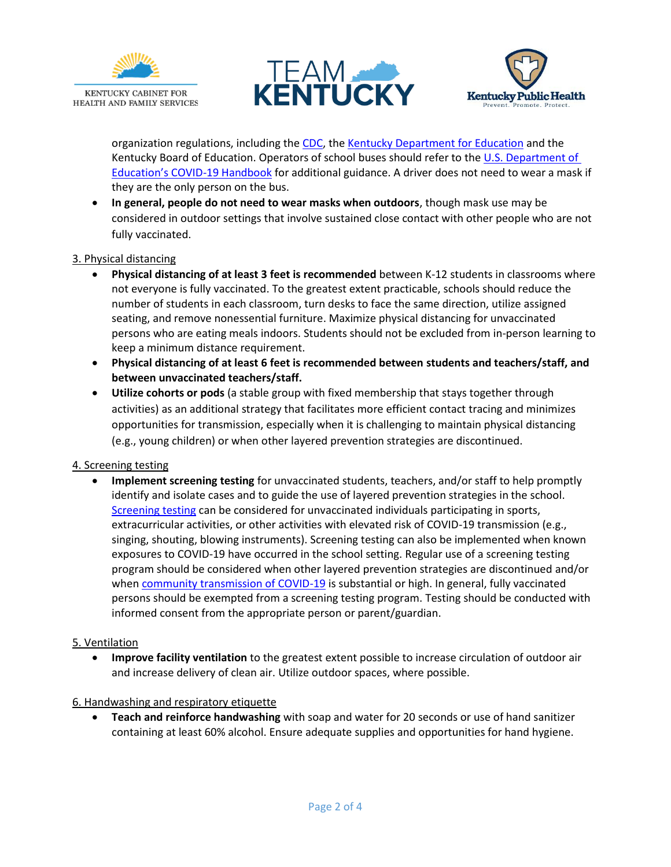





organization regulations, including the [CDC,](https://www.cdc.gov/quarantine/aboutlawsregulationsquarantineisolation.html) the [Kentucky Department for Education](https://education.ky.gov/comm/Pages/COVID-19-Reopening-Resources.aspx) and the Kentucky Board of Education. Operators of school buses should refer to th[e U.S. Department of](https://www2.ed.gov/documents/coronavirus/reopening.pdf)  [Education's COVID](https://www2.ed.gov/documents/coronavirus/reopening.pdf)-19 Handbook for additional guidance. A driver does not need to wear a mask if they are the only person on the bus.

• **In general, people do not need to wear masks when outdoors**, though mask use may be considered in outdoor settings that involve sustained close contact with other people who are not fully vaccinated.

### 3. Physical distancing

- **Physical distancing of at least 3 feet is recommended** between K-12 students in classrooms where not everyone is fully vaccinated. To the greatest extent practicable, schools should reduce the number of students in each classroom, turn desks to face the same direction, utilize assigned seating, and remove nonessential furniture. Maximize physical distancing for unvaccinated persons who are eating meals indoors. Students should not be excluded from in-person learning to keep a minimum distance requirement.
- **Physical distancing of at least 6 feet is recommended between students and teachers/staff, and between unvaccinated teachers/staff.**
- **Utilize cohorts or pods** (a stable group with fixed membership that stays together through activities) as an additional strategy that facilitates more efficient contact tracing and minimizes opportunities for transmission, especially when it is challenging to maintain physical distancing (e.g., young children) or when other layered prevention strategies are discontinued.

#### 4. Screening testing

• **Implement screening testing** for unvaccinated students, teachers, and/or staff to help promptly identify and isolate cases and to guide the use of layered prevention strategies in the school. [Screening testing](https://govstatus.egov.com/K-12-kentucky-school-testing-program) can be considered for unvaccinated individuals participating in sports, extracurricular activities, or other activities with elevated risk of COVID-19 transmission (e.g., singing, shouting, blowing instruments). Screening testing can also be implemented when known exposures to COVID-19 have occurred in the school setting. Regular use of a screening testing program should be considered when other layered prevention strategies are discontinued and/or whe[n community transmission of COVID-19](https://govstatus.egov.com/kycovid19) is substantial or high. In general, fully vaccinated persons should be exempted from a screening testing program. Testing should be conducted with informed consent from the appropriate person or parent/guardian.

#### 5. Ventilation

• **Improve facility ventilation** to the greatest extent possible to increase circulation of outdoor air and increase delivery of clean air. Utilize outdoor spaces, where possible.

#### 6. Handwashing and respiratory etiquette

• **Teach and reinforce handwashing** with soap and water for 20 seconds or use of hand sanitizer containing at least 60% alcohol. Ensure adequate supplies and opportunities for hand hygiene.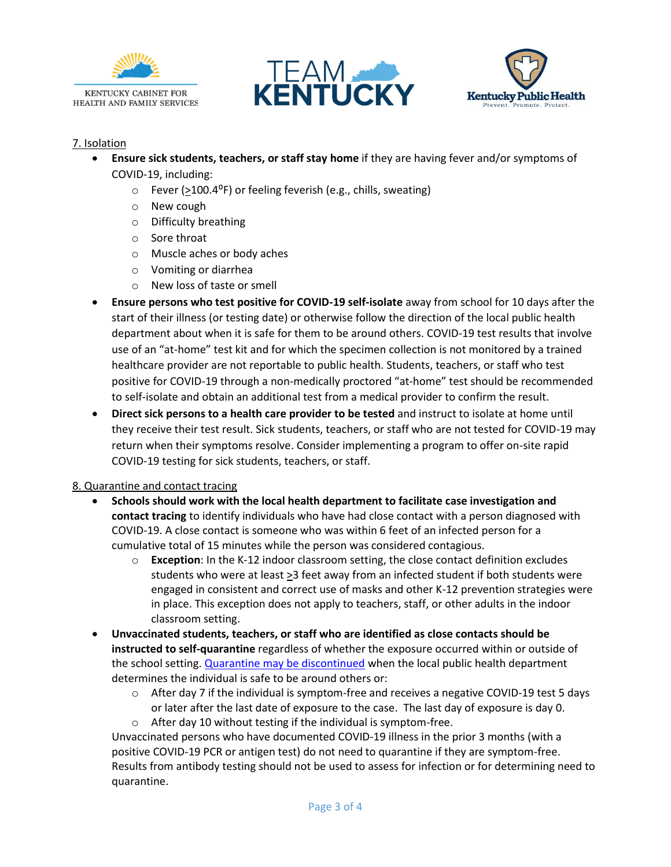





## 7. Isolation

- **Ensure sick students, teachers, or staff stay home** if they are having fever and/or symptoms of COVID-19, including:
	- $\circ$  Fever (>100.4<sup>o</sup>F) or feeling feverish (e.g., chills, sweating)
	- o New cough
	- o Difficulty breathing
	- o Sore throat
	- o Muscle aches or body aches
	- o Vomiting or diarrhea
	- o New loss of taste or smell
- **Ensure persons who test positive for COVID-19 self-isolate** away from school for 10 days after the start of their illness (or testing date) or otherwise follow the direction of the local public health department about when it is safe for them to be around others. COVID-19 test results that involve use of an "at-home" test kit and for which the specimen collection is not monitored by a trained healthcare provider are not reportable to public health. Students, teachers, or staff who test positive for COVID-19 through a non-medically proctored "at-home" test should be recommended to self-isolate and obtain an additional test from a medical provider to confirm the result.
- **Direct sick persons to a health care provider to be tested** and instruct to isolate at home until they receive their test result. Sick students, teachers, or staff who are not tested for COVID-19 may return when their symptoms resolve. Consider implementing a program to offer on-site rapid COVID-19 testing for sick students, teachers, or staff.

#### 8. Quarantine and contact tracing

- **Schools should work with the local health department to facilitate case investigation and contact tracing** to identify individuals who have had close contact with a person diagnosed with COVID-19. A close contact is someone who was within 6 feet of an infected person for a cumulative total of 15 minutes while the person was considered contagious.
	- o **Exception**: In the K-12 indoor classroom setting, the close contact definition excludes students who were at least >3 feet away from an infected student if both students were engaged in consistent and correct use of masks and other K-12 prevention strategies were in place. This exception does not apply to teachers, staff, or other adults in the indoor classroom setting.
- **Unvaccinated students, teachers, or staff who are identified as close contacts should be instructed to self-quarantine** regardless of whether the exposure occurred within or outside of the school setting[. Quarantine may be discontinued](https://www.cdc.gov/coronavirus/2019-ncov/if-you-are-sick/quarantine.html) when the local public health department determines the individual is safe to be around others or:
	- $\circ$  After day 7 if the individual is symptom-free and receives a negative COVID-19 test 5 days or later after the last date of exposure to the case. The last day of exposure is day 0.
	- o After day 10 without testing if the individual is symptom-free.

Unvaccinated persons who have documented COVID-19 illness in the prior 3 months (with a positive COVID-19 PCR or antigen test) do not need to quarantine if they are symptom-free. Results from antibody testing should not be used to assess for infection or for determining need to quarantine.